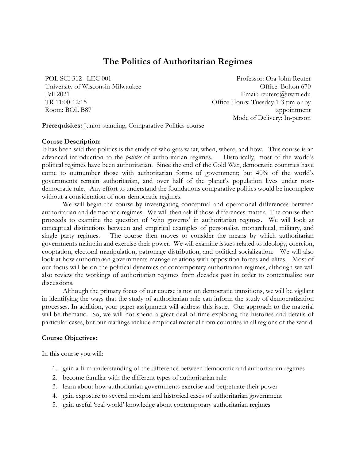# **The Politics of Authoritarian Regimes**

POL SCI 312 LEC 001 University of Wisconsin-Milwaukee Fall 2021 TR 11:00-12:15 Room: BOL B87

Professor: Ora John Reuter Office: Bolton 670 Email: reutero@uwm.edu Office Hours: Tuesday 1-3 pm or by appointment Mode of Delivery: In-person

**Prerequisites:** Junior standing, Comparative Politics course

# **Course Description:**

It has been said that politics is the study of who gets what, when, where, and how. This course is an advanced introduction to the *politics* of authoritarian regimes. Historically, most of the world's political regimes have been authoritarian. Since the end of the Cold War, democratic countries have come to outnumber those with authoritarian forms of government; but 40% of the world's governments remain authoritarian, and over half of the planet's population lives under nondemocratic rule. Any effort to understand the foundations comparative politics would be incomplete without a consideration of non-democratic regimes.

We will begin the course by investigating conceptual and operational differences between authoritarian and democratic regimes. We will then ask if those differences matter. The course then proceeds to examine the question of 'who governs' in authoritarian regimes. We will look at conceptual distinctions between and empirical examples of personalist, monarchical, military, and single party regimes. The course then moves to consider the means by which authoritarian governments maintain and exercise their power. We will examine issues related to ideology, coercion, cooptation, electoral manipulation, patronage distribution, and political socialization. We will also look at how authoritarian governments manage relations with opposition forces and elites. Most of our focus will be on the political dynamics of contemporary authoritarian regimes, although we will also review the workings of authoritarian regimes from decades past in order to contextualize our discussions.

Although the primary focus of our course is not on democratic transitions, we will be vigilant in identifying the ways that the study of authoritarian rule can inform the study of democratization processes. In addition, your paper assignment will address this issue. Our approach to the material will be thematic. So, we will not spend a great deal of time exploring the histories and details of particular cases, but our readings include empirical material from countries in all regions of the world.

# **Course Objectives:**

In this course you will:

- 1. gain a firm understanding of the difference between democratic and authoritarian regimes
- 2. become familiar with the different types of authoritarian rule
- 3. learn about how authoritarian governments exercise and perpetuate their power
- 4. gain exposure to several modern and historical cases of authoritarian government
- 5. gain useful 'real-world' knowledge about contemporary authoritarian regimes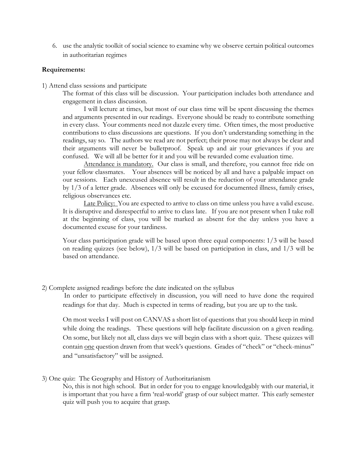6. use the analytic toolkit of social science to examine why we observe certain political outcomes in authoritarian regimes

# **Requirements:**

- 1) Attend class sessions and participate
	- The format of this class will be discussion. Your participation includes both attendance and engagement in class discussion.

I will lecture at times, but most of our class time will be spent discussing the themes and arguments presented in our readings. Everyone should be ready to contribute something in every class. Your comments need not dazzle every time. Often times, the most productive contributions to class discussions are questions. If you don't understanding something in the readings, say so. The authors we read are not perfect; their prose may not always be clear and their arguments will never be bulletproof. Speak up and air your grievances if you are confused. We will all be better for it and you will be rewarded come evaluation time.

Attendance is mandatory. Our class is small, and therefore, you cannot free ride on your fellow classmates. Your absences will be noticed by all and have a palpable impact on our sessions. Each unexcused absence will result in the reduction of your attendance grade by 1/3 of a letter grade. Absences will only be excused for documented illness, family crises, religious observances etc.

Late Policy: You are expected to arrive to class on time unless you have a valid excuse. It is disruptive and disrespectful to arrive to class late. If you are not present when I take roll at the beginning of class, you will be marked as absent for the day unless you have a documented excuse for your tardiness.

Your class participation grade will be based upon three equal components: 1/3 will be based on reading quizzes (see below), 1/3 will be based on participation in class, and 1/3 will be based on attendance.

2) Complete assigned readings before the date indicated on the syllabus

In order to participate effectively in discussion, you will need to have done the required readings for that day. Much is expected in terms of reading, but you are up to the task.

On most weeks I will post on CANVAS a short list of questions that you should keep in mind while doing the readings. These questions will help facilitate discussion on a given reading. On some, but likely not all, class days we will begin class with a short quiz. These quizzes will contain one question drawn from that week's questions. Grades of "check" or "check-minus" and "unsatisfactory" will be assigned.

# 3) One quiz: The Geography and History of Authoritarianism

No, this is not high school. But in order for you to engage knowledgably with our material, it is important that you have a firm 'real-world' grasp of our subject matter. This early semester quiz will push you to acquire that grasp.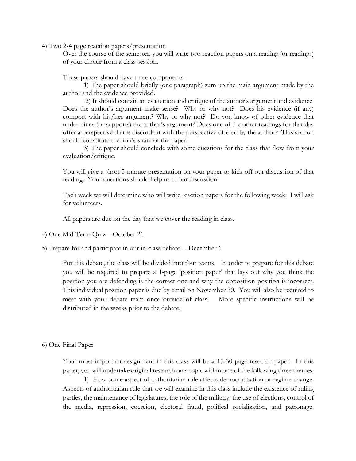4) Two 2-4 page reaction papers/presentation

Over the course of the semester, you will write two reaction papers on a reading (or readings) of your choice from a class session.

These papers should have three components:

1) The paper should briefly (one paragraph) sum up the main argument made by the author and the evidence provided.

2) It should contain an evaluation and critique of the author's argument and evidence. Does the author's argument make sense? Why or why not? Does his evidence (if any) comport with his/her argument? Why or why not? Do you know of other evidence that undermines (or supports) the author's argument? Does one of the other readings for that day offer a perspective that is discordant with the perspective offered by the author? This section should constitute the lion's share of the paper.

3) The paper should conclude with some questions for the class that flow from your evaluation/critique.

You will give a short 5-minute presentation on your paper to kick off our discussion of that reading. Your questions should help us in our discussion.

Each week we will determine who will write reaction papers for the following week. I will ask for volunteers.

All papers are due on the day that we cover the reading in class.

4) One Mid-Term Quiz—October 21

5) Prepare for and participate in our in-class debate--- December 6

For this debate, the class will be divided into four teams. In order to prepare for this debate you will be required to prepare a 1-page 'position paper' that lays out why you think the position you are defending is the correct one and why the opposition position is incorrect. This individual position paper is due by email on November 30. You will also be required to meet with your debate team once outside of class. More specific instructions will be distributed in the weeks prior to the debate.

6) One Final Paper

Your most important assignment in this class will be a 15-30 page research paper. In this paper, you will undertake original research on a topic within one of the following three themes:

1) How some aspect of authoritarian rule affects democratization or regime change. Aspects of authoritarian rule that we will examine in this class include the existence of ruling parties, the maintenance of legislatures, the role of the military, the use of elections, control of the media, repression, coercion, electoral fraud, political socialization, and patronage.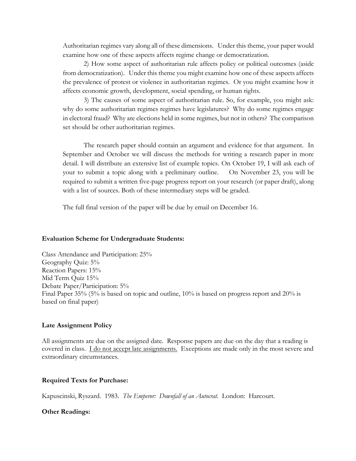Authoritarian regimes vary along all of these dimensions. Under this theme, your paper would examine how one of these aspects affects regime change or democratization.

2) How some aspect of authoritarian rule affects policy or political outcomes (aside from democratization). Under this theme you might examine how one of these aspects affects the prevalence of protest or violence in authoritarian regimes. Or you might examine how it affects economic growth, development, social spending, or human rights.

3) The causes of some aspect of authoritarian rule. So, for example, you might ask: why do some authoritarian regimes regimes have legislatures? Why do some regimes engage in electoral fraud? Why are elections held in some regimes, but not in others? The comparison set should be other authoritarian regimes.

The research paper should contain an argument and evidence for that argument. In September and October we will discuss the methods for writing a research paper in more detail. I will distribute an extensive list of example topics. On October 19, I will ask each of your to submit a topic along with a preliminary outline. On November 23, you will be required to submit a written five-page progress report on your research (or paper draft), along with a list of sources. Both of these intermediary steps will be graded.

The full final version of the paper will be due by email on December 16.

### **Evaluation Scheme for Undergraduate Students:**

Class Attendance and Participation: 25% Geography Quiz: 5% Reaction Papers: 15% Mid Term Quiz 15% Debate Paper/Participation: 5% Final Paper 35% (5% is based on topic and outline, 10% is based on progress report and 20% is based on final paper)

### **Late Assignment Policy**

All assignments are due on the assigned date. Response papers are due on the day that a reading is covered in class. I do not accept late assignments. Exceptions are made only in the most severe and extraordinary circumstances.

### **Required Texts for Purchase:**

Kapuscinski, Ryszard.1983. *The Emperor: Downfall of an Autocrat.* London: Harcourt.

### **Other Readings:**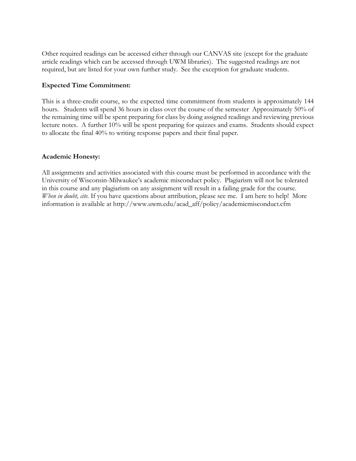Other required readings can be accessed either through our CANVAS site (except for the graduate article readings which can be accessed through UWM libraries). The suggested readings are not required, but are listed for your own further study. See the exception for graduate students.

# **Expected Time Commitment:**

This is a three-credit course, so the expected time commitment from students is approximately 144 hours. Students will spend 36 hours in class over the course of the semester Approximately 50% of the remaining time will be spent preparing for class by doing assigned readings and reviewing previous lecture notes. A further 10% will be spent preparing for quizzes and exams. Students should expect to allocate the final 40% to writing response papers and their final paper.

# **Academic Honesty:**

All assignments and activities associated with this course must be performed in accordance with the University of Wisconsin-Milwaukee's academic misconduct policy. Plagiarism will not be tolerated in this course and any plagiarism on any assignment will result in a failing grade for the course. *When in doubt, cite.* If you have questions about attribution, please see me. I am here to help! More information is available at http://www.uwm.edu/acad\_aff/policy/academicmisconduct.cfm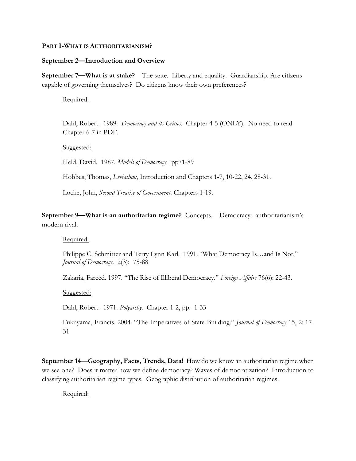# **PART I-WHAT IS AUTHORITARIANISM?**

# **September 2—Introduction and Overview**

**September 7—What is at stake?** The state. Liberty and equality. Guardianship. Are citizens capable of governing themselves? Do citizens know their own preferences?

Required:

Dahl, Robert. 1989. *Democracy and its Critics.* Chapter 4-5 (ONLY). No need to read Chapter 6-7 in PDF.

Suggested:

Held, David. 1987. *Models of Democracy.* pp71-89

Hobbes, Thomas, *Leviathan*, Introduction and Chapters 1-7, 10-22, 24, 28-31.

Locke, John, *Second Treatise of Government*. Chapters 1-19.

**September 9—What is an authoritarian regime?** Concepts. Democracy: authoritarianism's modern rival.

Required:

Philippe C. Schmitter and Terry Lynn Karl. 1991. "What Democracy Is…and Is Not," *Journal of Democracy*. 2(3): 75-88

Zakaria, Fareed. 1997. "The Rise of Illiberal Democracy." *Foreign Affairs* 76(6): 22-43.

Suggested:

Dahl, Robert. 1971. *Polyarchy.* Chapter 1-2, pp. 1-33

Fukuyama, Francis. 2004. "The Imperatives of State-Building." *Journal of Democracy* 15, 2: 17- 31

**September 14—Geography, Facts, Trends, Data!** How do we know an authoritarian regime when we see one? Does it matter how we define democracy? Waves of democratization? Introduction to classifying authoritarian regime types. Geographic distribution of authoritarian regimes.

Required: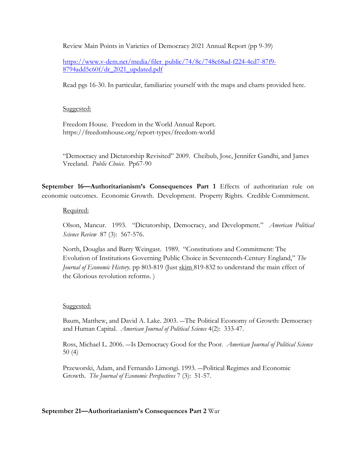Review Main Points in Varieties of Democracy 2021 Annual Report (pp 9-39)

[https://www.v-dem.net/media/filer\\_public/74/8c/748c68ad-f224-4cd7-87f9-](https://www.v-dem.net/media/filer_public/74/8c/748c68ad-f224-4cd7-87f9-8794add5c60f/dr_2021_updated.pdf) [8794add5c60f/dr\\_2021\\_updated.pdf](https://www.v-dem.net/media/filer_public/74/8c/748c68ad-f224-4cd7-87f9-8794add5c60f/dr_2021_updated.pdf)

Read pgs 16-30. In particular, familiarize yourself with the maps and charts provided here.

# Suggested:

Freedom House. Freedom in the World Annual Report. https://freedomhouse.org/report-types/freedom-world

"Democracy and Dictatorship Revisited" 2009. Cheibub, Jose, Jennifer Gandhi, and James Vreeland. *Public Choice.* Pp67-90

**September 16—Authoritarianism's Consequences Part 1** Effects of authoritarian rule on economic outcomes. Economic Growth. Development. Property Rights. Credible Commitment.

# Required:

Olson, Mancur. 1993. "Dictatorship, Democracy, and Development." *American Political Science Review* 87 (3): 567-576.

North, Douglas and Barry Weingast. 1989. "Constitutions and Commitment: The Evolution of Institutions Governing Public Choice in Seventeenth-Century England," *The Journal of Economic History.* pp 803-819 (Just skim 819-832 to understand the main effect of the Glorious revolution reforms. )

# Suggested:

Baum, Matthew, and David A. Lake. 2003. ―The Political Economy of Growth: Democracy and Human Capital. *American Journal of Political Science* 4(2): 333-47.

Ross, Michael L. 2006. ―Is Democracy Good for the Poor. *American Journal of Political Science*  50 (4)

Przeworski, Adam, and Fernando Limongi. 1993. ―Political Regimes and Economic Growth. *The Journal of Economic Perspectives* 7 (3): 51-57.

# **September 21—Authoritarianism's Consequences Part 2** War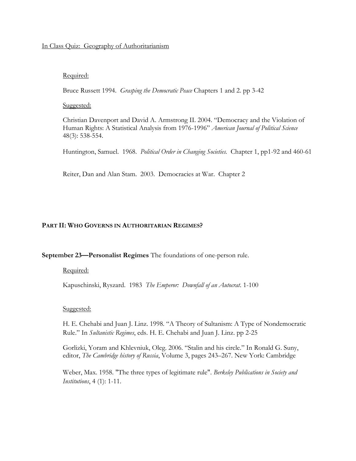# In Class Quiz: Geography of Authoritarianism

# Required:

Bruce Russett 1994. *Grasping the Democratic Peace* Chapters 1 and 2. pp 3-42

# Suggested:

Christian Davenport and David A. Armstrong II. 2004. "Democracy and the Violation of Human Rights: A Statistical Analysis from 1976-1996" *American Journal of Political Science* 48(3): 538-554.

Huntington, Samuel. 1968. *Political Order in Changing Societies.* Chapter 1, pp1-92 and 460-61

Reiter, Dan and Alan Stam. 2003. Democracies at War. Chapter 2

# **PART II: WHO GOVERNS IN AUTHORITARIAN REGIMES?**

### **September 23—Personalist Regimes** The foundations of one-person rule.

# Required:

Kapuschinski, Ryszard. 1983 *The Emperor: Downfall of an Autocrat*. 1-100

### Suggested:

H. E. Chehabi and Juan J. Linz. 1998. "A Theory of Sultanism: A Type of Nondemocratic Rule." In *Sultanistic Regimes*, eds. H. E. Chehabi and Juan J. Linz. pp 2-25

Gorlizki, Yoram and Khlevniuk, Oleg. 2006. "Stalin and his circle." In Ronald G. Suny, editor, *The Cambridge history of Russia*, Volume 3, pages 243–267. New York: Cambridge

Weber, Max. 1958. "The three types of legitimate rule". *Berkeley Publications in Society and Institutions*, 4 (1): 1-11.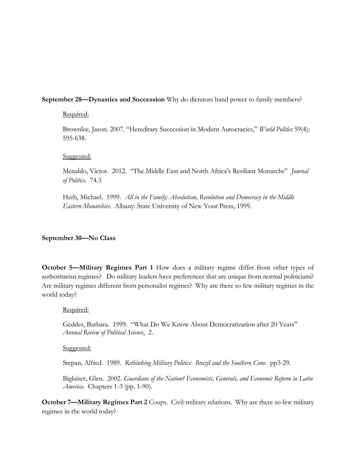# **September 28—Dynasties and Succession** Why do dictators hand power to family members?

# Required:

Brownlee, Jason. 2007. "Hereditary Succession in Modern Autocracies," *World Politics* 59(4): 595-638.

# Suggested:

Menaldo, Victor. 2012. "The Middle East and North Africa's Resiliant Monarchs" *Journal of Politics.* 74.3

Herb, Michael. 1999. *All in the Family: Absolutism, Revolution and Democracy in the Middle Eastern Monarchies.* Albany: State University of New Your Press, 1999.

# **September 30—No Class**

**October 5—Military Regimes Part 1** How does a military regime differ from other types of authoritarian regimes? Do military leaders have preferences that are unique from normal politicians? Are military regimes different from personalist regimes? Why are there so few military regimes in the world today?

### Required:

Geddes, Barbara. 1999. "What Do We Know About Democratization after 20 Years" *Annual Review of Political Science*, 2.

### Suggested:

Stepan, Alfred. 1989. *Rethinking Military Politics: Brazil and the Southern Cone.* pp3-29.

Biglaiser, Glen. 2002. *Guardians of the Nation? Economists, Generals, and Economic Reform in Latin America.* Chapters 1-3 (pp. 1-90).

**October 7—Military Regimes Part 2** Coups. Civil-military relations. Why are there so few military regimes in the world today?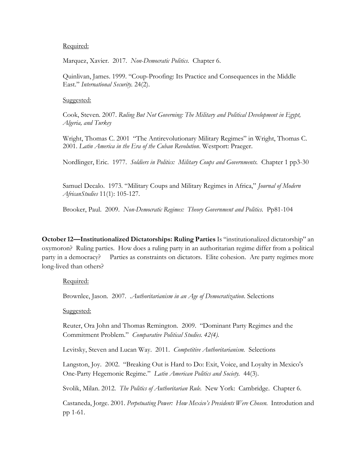### Required:

Marquez, Xavier. 2017. *Non-Democratic Politics*. Chapter 6.

Quinlivan, James. 1999. "Coup-Proofing: Its Practice and Consequences in the Middle East." *International Security.* 24(2).

#### Suggested:

Cook, Steven. 2007. *Ruling But Not Governing: The Military and Political Development in Egypt, Algeria, and Turkey*

Wright, Thomas C. 2001 "The Antirevolutionary Military Regimes" in Wright, Thomas C. 2001. *Latin America in the Era of the Cuban Revolution*. Westport: Praeger.

Nordlinger, Eric. 1977. *Soldiers in Politics: Military Coups and Governments.* Chapter 1 pp3-30

Samuel Decalo. 1973. "Military Coups and Military Regimes in Africa," *Journal of Modern AfricanStudies* 11(1): 105-127.

Brooker, Paul. 2009. *Non-Democratic Regimes: Theory Government and Politics.* Pp81-104

**October 12—Institutionalized Dictatorships: Ruling Parties** Is "institutionalized dictatorship" an oxymoron? Ruling parties. How does a ruling party in an authoritarian regime differ from a political party in a democracy? Parties as constraints on dictators. Elite cohesion. Are party regimes more long-lived than others?

### Required:

Brownlee, Jason. 2007. .*Authoritarianism in an Age of Democratization*. Selections

### Suggested:

Reuter, Ora John and Thomas Remington. 2009. "Dominant Party Regimes and the Commitment Problem." *Comparative Political Studies. 42(4).* 

Levitsky, Steven and Lucan Way. 2011. *Competitive Authoritarianism.* Selections

Langston, Joy. 2002. "Breaking Out is Hard to Do: Exit, Voice, and Loyalty in Mexico's One-Party Hegemonic Regime." *Latin American Politics and Society.* 44(3).

Svolik, Milan. 2012. *The Politics of Authoritarian Rule.* New York: Cambridge. Chapter 6.

Castaneda, Jorge. 2001. *Perpetuating Power: How Mexico's Presidents Were Chosen.* Introdution and pp 1-61.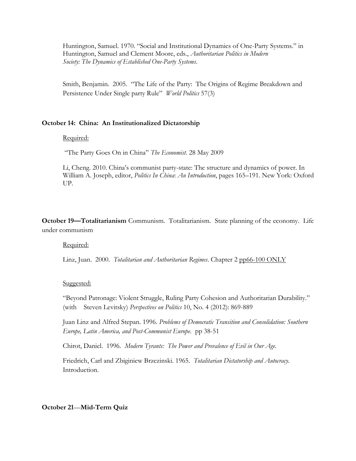Huntington, Samuel. 1970. "Social and Institutional Dynamics of One-Party Systems." in Huntington, Samuel and Clement Moore, eds., *Authoritarian Politics in Modern Society: The Dynamics of Established One-Party Systems*.

Smith, Benjamin. 2005. "The Life of the Party: The Origins of Regime Breakdown and Persistence Under Single party Rule" *World Politics* 57(3)

# **October 14: China: An Institutionalized Dictatorship**

# Required:

"The Party Goes On in China" *The Economist.* 28 May 2009

Li, Cheng. 2010. China's communist party-state: The structure and dynamics of power. In William A. Joseph, editor, *Politics In China*: *An Introduction*, pages 165–191. New York: Oxford UP.

**October 19—Totalitarianism** Communism. Totalitarianism. State planning of the economy. Life under communism

Required:

Linz, Juan. 2000. *Totalitarian and Authoritarian Regimes*. Chapter 2 pp66-100 ONLY

### Suggested:

"Beyond Patronage: Violent Struggle, Ruling Party Cohesion and Authoritarian Durability." (with Steven Levitsky) *Perspectives on Politics* 10, No. 4 (2012): 869-889

Juan Linz and Alfred Stepan. 1996. *Problems of Democratic Transition and Consolidation: Southern Europe, Latin America, and Post-Communist Europe.* pp 38-51

Chirot, Daniel. 1996. *Modern Tyrants: The Power and Prevalence of Evil in Our Age.*

Friedrich, Carl and Zbiginiew Brzezinski. 1965. *Totalitarian Dictatorship and Autocracy.*  Introduction.

### **October 21**—**Mid-Term Quiz**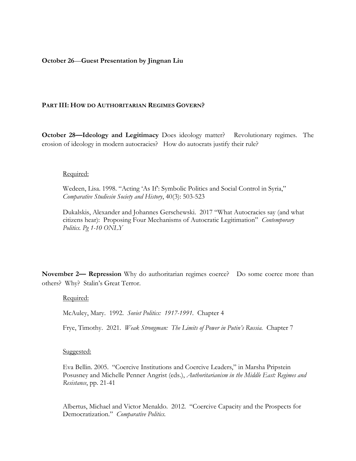# **October 26**—**Guest Presentation by Jingnan Liu**

### **PART III: HOW DO AUTHORITARIAN REGIMES GOVERN?**

**October 28—Ideology and Legitimacy** Does ideology matter? Revolutionary regimes. The erosion of ideology in modern autocracies? How do autocrats justify their rule?

#### Required:

Wedeen, Lisa. 1998. "Acting 'As If': Symbolic Politics and Social Control in Syria," *Comparative Studiesin Society and History*, 40(3): 503-523

Dukalskis, Alexander and Johannes Gerschewski. 2017 "What Autocracies say (and what citizens hear): Proposing Four Mechanisms of Autocratic Legitimation" *Contemporary Politics. Pg 1-10 ONLY*

**November 2— Repression** Why do authoritarian regimes coerce? Do some coerce more than others? Why? Stalin's Great Terror.

### Required:

McAuley, Mary. 1992. *Soviet Politics: 1917-1991.* Chapter 4

Frye, Timothy. 2021. *Weak Strongman: The Limits of Power in Putin's Russia.* Chapter 7

### Suggested:

Eva Bellin. 2005. "Coercive Institutions and Coercive Leaders," in Marsha Pripstein Posusney and Michelle Penner Angrist (eds.), *Authoritarianism in the Middle East: Regimes and Resistance*, pp. 21-41

Albertus, Michael and Victor Menaldo. 2012. "Coercive Capacity and the Prospects for Democratization." *Comparative Politics.*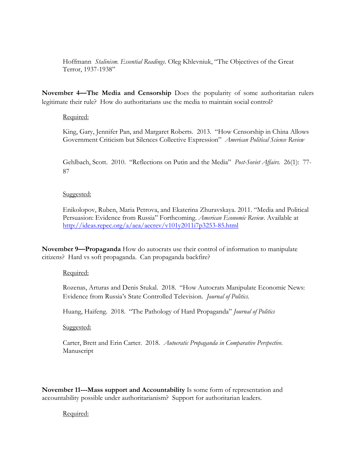Hoffmann *Stalinism. Essential Readings*. Oleg Khlevniuk, "The Objectives of the Great Terror, 1937-1938"

**November 4—The Media and Censorship** Does the popularity of some authoritarian rulers legitimate their rule? How do authoritarians use the media to maintain social control?

# Required:

King, Gary, Jennifer Pan, and Margaret Roberts. 2013. "How Censorship in China Allows Government Criticism but Silences Collective Expression" *American Political Science Review*

Gehlbach, Scott. 2010. "Reflections on Putin and the Media" *Post-Soviet Affairs.* 26(1): 77- 87

# Suggested:

Enikolopov, Ruben, Maria Petrova, and Ekaterina Zhuravskaya. 2011. "Media and Political Persuasion: Evidence from Russia" Forthcoming. *American Economic Review*. Available at <http://ideas.repec.org/a/aea/aecrev/v101y2011i7p3253-85.html>

**November 9—Propaganda** How do autocrats use their control of information to manipulate citizens? Hard vs soft propaganda. Can propaganda backfire?

# Required:

Rozenas, Arturas and Denis Stukal. 2018. "How Autocrats Manipulate Economic News: Evidence from Russia's State Controlled Television. *Journal of Politics.*

Huang, Haifeng. 2018. "The Pathology of Hard Propaganda" *Journal of Politics*

Suggested:

Carter, Brett and Erin Carter. 2018. *Autocratic Propaganda in Comparative Perspective.* Manuscript

**November 11---Mass support and Accountability** Is some form of representation and accountability possible under authoritarianism? Support for authoritarian leaders.

# Required: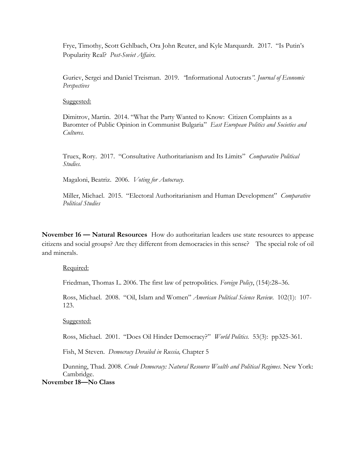Frye, Timothy, Scott Gehlbach, Ora John Reuter, and Kyle Marquardt. 2017. "Is Putin's Popularity Real? *Post-Soviet Affairs.*

Guriev, Sergei and Daniel Treisman. 2019*. "*Informational Autocrats*". Journal of Economic Perspectives*

Suggested:

Dimitrov, Martin. 2014. "What the Party Wanted to Know: Citizen Complaints as a Baromter of Public Opinion in Communist Bulgaria" *East European Politics and Societies and Cultures.* 

Truex, Rory. 2017. "Consultative Authoritarianism and Its Limits" *Comparative Political Studies.* 

Magaloni, Beatriz. 2006. *Voting for Autocracy.*

Miller, Michael. 2015. "Electoral Authoritarianism and Human Development" *Comparative Political Studies*

**November 16 — Natural Resources** How do authoritarian leaders use state resources to appease citizens and social groups? Are they different from democracies in this sense? The special role of oil and minerals.

Required:

Friedman, Thomas L. 2006. The first law of petropolitics. *Foreign Policy*, (154):28–36.

Ross, Michael. 2008. "Oil, Islam and Women" *American Political Science Review.* 102(1): 107- 123.

Suggested:

Ross, Michael. 2001. "Does Oil Hinder Democracy?" *World Politics.* 53(3): pp325-361.

Fish, M Steven. *Democracy Derailed in Russia,* Chapter 5

Dunning, Thad. 2008. *Crude Democracy: Natural Resource Wealth and Political Regimes*. New York: Cambridge.

**November 18—No Class**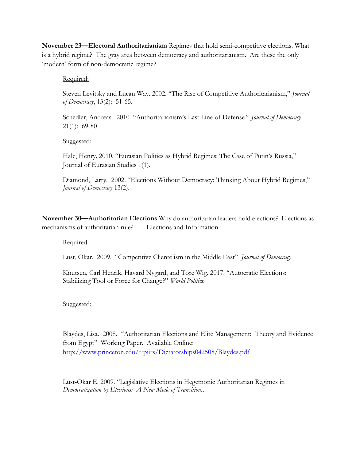**November 23—Electoral Authoritarianism** Regimes that hold semi-competitive elections. What is a hybrid regime?The gray area between democracy and authoritarianism. Are these the only 'modern' form of non-democratic regime?

# Required:

Steven Levitsky and Lucan Way. 2002. "The Rise of Competitive Authoritarianism," *Journal of Democracy*, 13(2): 51-65.

Schedler, Andreas. 2010 "Authoritarianism's Last Line of Defense*" Journal of Democracy* 21(1): 69-80

# Suggested:

Hale, Henry. 2010. "Eurasian Polities as Hybrid Regimes: The Case of Putin's Russia," Journal of Eurasian Studies 1(1).

Diamond, Larry. 2002. "Elections Without Democracy: Thinking About Hybrid Regimes," *Journal of Democracy* 13(2).

**November 30—Authoritarian Elections** Why do authoritarian leaders hold elections? Elections as mechanisms of authoritarian rule? Elections and Information.

# Required:

Lust, Okar. 2009. "Competitive Clientelism in the Middle East" *Journal of Democracy*

Knutsen, Carl Henrik, Havard Nygard, and Tore Wig. 2017. "Autocratic Elections: Stabilizing Tool or Force for Change?" *World Politics.*

# Suggested:

Blaydes, Lisa. 2008. "Authoritarian Elections and Elite Management: Theory and Evidence from Egypt" Working Paper. Available Online: <http://www.princeton.edu/~piirs/Dictatorships042508/Blaydes.pdf>

Lust-Okar E. 2009. "Legislative Elections in Hegemonic Authoritarian Regimes in *Democratization by Elections: A New Mode of Transition.*.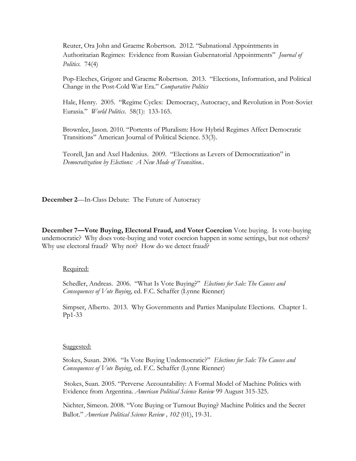Reuter, Ora John and Graeme Robertson. 2012. "Subnational Appointments in Authoritarian Regimes: Evidence from Russian Gubernatorial Appointments" *Journal of Politics.* 74(4)

Pop-Eleches, Grigore and Graeme Robertson. 2013. "Elections, Information, and Political Change in the Post-Cold War Era." *Comparative Politics*

Hale, Henry. 2005. "Regime Cycles: Democracy, Autocracy, and Revolution in Post-Soviet Eurasia." *World Politics*. 58(1): 133-165.

Brownlee, Jason. 2010. "Portents of Pluralism: How Hybrid Regimes Affect Democratic Transitions" American Journal of Political Science. 53(3).

Teorell, Jan and Axel Hadenius. 2009. "Elections as Levers of Democratization" in *Democratization by Elections: A New Mode of Transition.*.

**December 2**—In-Class Debate: The Future of Autocracy

**December 7—Vote Buying, Electoral Fraud, and Voter Coercion** Vote buying. Is vote-buying undemocratic? Why does vote-buying and voter coercion happen in some settings, but not others? Why use electoral fraud? Why not? How do we detect fraud?

# Required:

Schedler, Andreas. 2006. "What Is Vote Buying?" *Elections for Sale: The Causes and Consequences of Vote Buying*, ed. F.C. Schaffer (Lynne Rienner)

Simpser, Alberto. 2013. Why Governments and Parties Manipulate Elections. Chapter 1. Pp1-33

### Suggested:

Stokes, Susan. 2006. "Is Vote Buying Undemocratic?" *Elections for Sale: The Causes and Consequences of Vote Buying*, ed. F.C. Schaffer (Lynne Rienner)

Stokes, Suan. 2005. "Perverse Accountability: A Formal Model of Machine Politics with Evidence from Argentina. *American Political Science Review* 99 August 315-325.

Nichter, Simeon. 2008. "Vote Buying or Turnout Buying? Machine Politics and the Secret Ballot." *American Political Science Review , 102* (01), 19-31.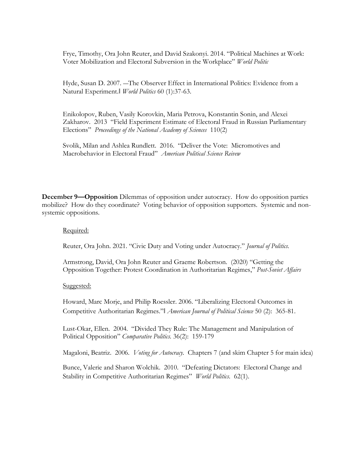Frye, Timothy, Ora John Reuter, and David Szakonyi. 2014. "Political Machines at Work: Voter Mobilization and Electoral Subversion in the Workplace" *World Politic*

Hyde, Susan D. 2007. ―The Observer Effect in International Politics: Evidence from a Natural Experiment.‖ *World Politics* 60 (1):37-63.

Enikolopov, Ruben, Vasily Korovkin, Maria Petrova, Konstantin Sonin, and Alexei Zakharov. 2013 "Field Experiment Estimate of Electoral Fraud in Russian Parliamentary Elections" *Proceedings of the National Academy of Sciences* 110(2)

Svolik, Milan and Ashlea Rundlett. 2016. "Deliver the Vote: Micromotives and Macrobehavior in Electoral Fraud" *American Political Science Reivew* 

**December 9—Opposition** Dilemmas of opposition under autocracy. How do opposition parties mobilize? How do they coordinate? Voting behavior of opposition supporters. Systemic and nonsystemic oppositions.

# Required:

Reuter, Ora John. 2021. "Civic Duty and Voting under Autocracy." *Journal of Politics.*

Armstrong, David, Ora John Reuter and Graeme Robertson. (2020) "Getting the Opposition Together: Protest Coordination in Authoritarian Regimes," *Post-Soviet Affairs*

### Suggested:

Howard, Marc Morje, and Philip Roessler. 2006. "Liberalizing Electoral Outcomes in Competitive Authoritarian Regimes."‖ *American Journal of Political Science* 50 (2): 365-81.

Lust-Okar, Ellen. 2004. "Divided They Rule: The Management and Manipulation of Political Opposition" *Comparative Politics.* 36(2): 159-179

Magaloni, Beatriz. 2006. *Voting for Autocracy.* Chapters 7 (and skim Chapter 5 for main idea)

Bunce, Valerie and Sharon Wolchik. 2010. "Defeating Dictators: Electoral Change and Stability in Competitive Authoritarian Regimes" *World Politics.* 62(1).